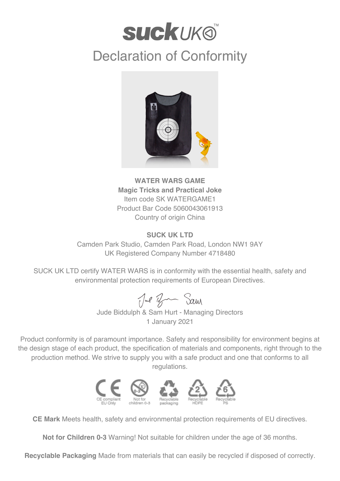## **SUCKUKO** Declaration of Conformity



**WATER WARS GAME Magic Tricks and Practical Joke** Item code SK WATERGAME1 Product Bar Code 5060043061913 Country of origin China

## **SUCK UK LTD**

Camden Park Studio, Camden Park Road, London NW1 9AY UK Registered Company Number 4718480

SUCK UK LTD certify WATER WARS is in conformity with the essential health, safety and environmental protection requirements of European Directives.

Jul Br Sam

Jude Biddulph & Sam Hurt - Managing Directors 1 January 2021

Product conformity is of paramount importance. Safety and responsibility for environment begins at the design stage of each product, the specification of materials and components, right through to the production method. We strive to supply you with a safe product and one that conforms to all regulations.



**CE Mark** Meets health, safety and environmental protection requirements of EU directives.

**Not for Children 0-3** Warning! Not suitable for children under the age of 36 months.

**Recyclable Packaging** Made from materials that can easily be recycled if disposed of correctly.